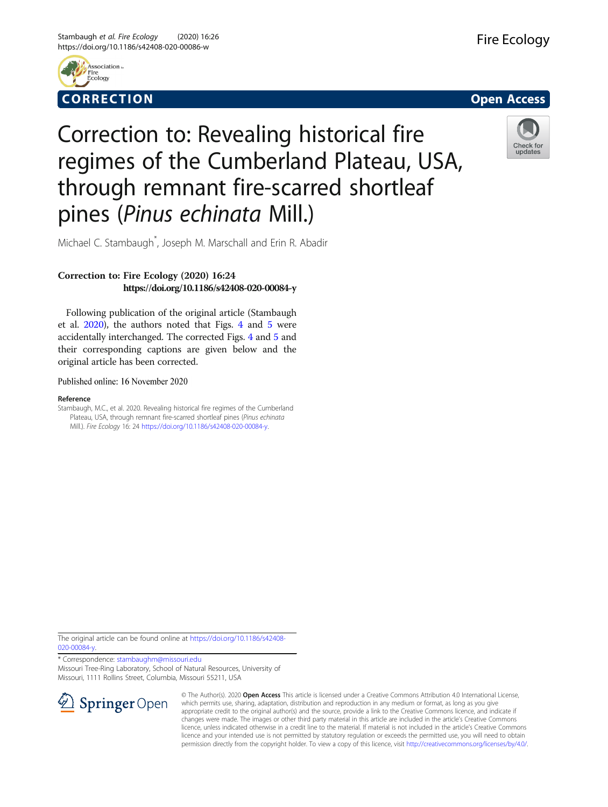



## Correction to: Revealing historical fire regimes of the Cumberland Plateau, USA, through remnant fire-scarred shortleaf pines (Pinus echinata Mill.)



Michael C. Stambaugh\* , Joseph M. Marschall and Erin R. Abadir

## Correction to: Fire Ecology (2020) 16:24 https://doi.org/10.1186/s42408-020-00084-y

Following publication of the original article (Stambaugh et al. 2020), the authors noted that Figs. [4](#page-1-0) and [5](#page-2-0) were accidentally interchanged. The corrected Figs. [4](#page-1-0) and [5](#page-2-0) and their corresponding captions are given below and the original article has been corrected.

Published online: 16 November 2020

## Reference

Stambaugh, M.C., et al. 2020. Revealing historical fire regimes of the Cumberland Plateau, USA, through remnant fire-scarred shortleaf pines (Pinus echinata Mill.). Fire Ecology 16: 24 <https://doi.org/10.1186/s42408-020-00084-y>.

The original article can be found online at [https://doi.org/10.1186/s42408-](https://doi.org/10.1186/s42408-020-00084-y) [020-00084-y](https://doi.org/10.1186/s42408-020-00084-y).

\* Correspondence: [stambaughm@missouri.edu](mailto:stambaughm@missouri.edu) Missouri Tree-Ring Laboratory, School of Natural Resources, University of

Missouri, 1111 Rollins Street, Columbia, Missouri 55211, USA



© The Author(s). 2020 Open Access This article is licensed under a Creative Commons Attribution 4.0 International License, which permits use, sharing, adaptation, distribution and reproduction in any medium or format, as long as you give appropriate credit to the original author(s) and the source, provide a link to the Creative Commons licence, and indicate if changes were made. The images or other third party material in this article are included in the article's Creative Commons licence, unless indicated otherwise in a credit line to the material. If material is not included in the article's Creative Commons licence and your intended use is not permitted by statutory regulation or exceeds the permitted use, you will need to obtain permission directly from the copyright holder. To view a copy of this licence, visit <http://creativecommons.org/licenses/by/4.0/>.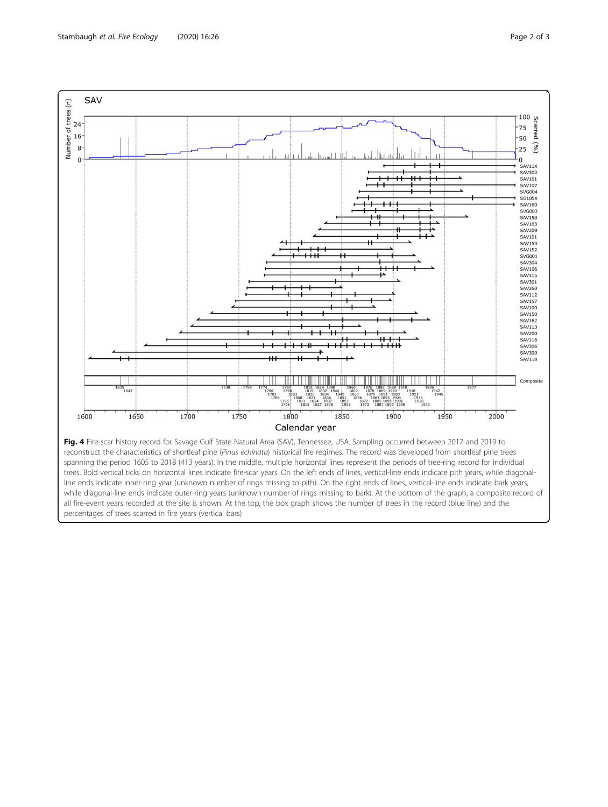<span id="page-1-0"></span>